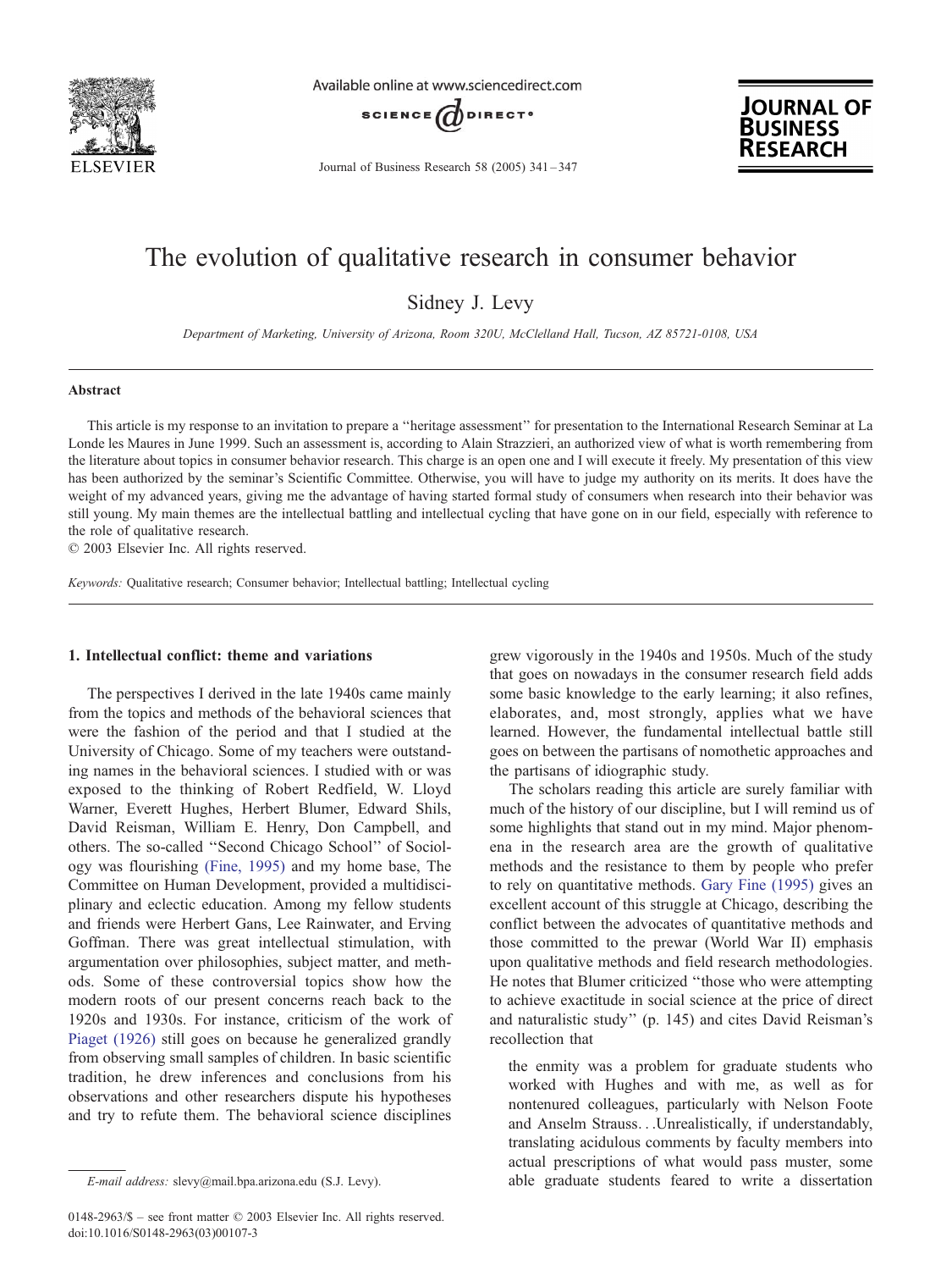

Available online at www.sciencedirect.com



Journal of Business Research 58 (2005) 341 – 347



## The evolution of qualitative research in consumer behavior

Sidney J. Levy

Department of Marketing, University of Arizona, Room 320U, McClelland Hall, Tucson, AZ 85721-0108, USA

#### Abstract

This article is my response to an invitation to prepare a ''heritage assessment'' for presentation to the International Research Seminar at La Londe les Maures in June 1999. Such an assessment is, according to Alain Strazzieri, an authorized view of what is worth remembering from the literature about topics in consumer behavior research. This charge is an open one and I will execute it freely. My presentation of this view has been authorized by the seminar's Scientific Committee. Otherwise, you will have to judge my authority on its merits. It does have the weight of my advanced years, giving me the advantage of having started formal study of consumers when research into their behavior was still young. My main themes are the intellectual battling and intellectual cycling that have gone on in our field, especially with reference to the role of qualitative research.

 $© 2003 Elsevier Inc. All rights reserved.$ 

Keywords: Qualitative research; Consumer behavior; Intellectual battling; Intellectual cycling

#### 1. Intellectual conflict: theme and variations

The perspectives I derived in the late 1940s came mainly from the topics and methods of the behavioral sciences that were the fashion of the period and that I studied at the University of Chicago. Some of my teachers were outstanding names in the behavioral sciences. I studied with or was exposed to the thinking of Robert Redfield, W. Lloyd Warner, Everett Hughes, Herbert Blumer, Edward Shils, David Reisman, William E. Henry, Don Campbell, and others. The so-called ''Second Chicago School'' of Sociology was flourishing [\(Fine, 1995\)](#page--1-0) and my home base, The Committee on Human Development, provided a multidisciplinary and eclectic education. Among my fellow students and friends were Herbert Gans, Lee Rainwater, and Erving Goffman. There was great intellectual stimulation, with argumentation over philosophies, subject matter, and methods. Some of these controversial topics show how the modern roots of our present concerns reach back to the 1920s and 1930s. For instance, criticism of the work of [Piaget \(1926\)](#page--1-0) still goes on because he generalized grandly from observing small samples of children. In basic scientific tradition, he drew inferences and conclusions from his observations and other researchers dispute his hypotheses and try to refute them. The behavioral science disciplines grew vigorously in the 1940s and 1950s. Much of the study that goes on nowadays in the consumer research field adds some basic knowledge to the early learning; it also refines, elaborates, and, most strongly, applies what we have learned. However, the fundamental intellectual battle still goes on between the partisans of nomothetic approaches and the partisans of idiographic study.

The scholars reading this article are surely familiar with much of the history of our discipline, but I will remind us of some highlights that stand out in my mind. Major phenomena in the research area are the growth of qualitative methods and the resistance to them by people who prefer to rely on quantitative methods. [Gary Fine \(1995\)](#page--1-0) gives an excellent account of this struggle at Chicago, describing the conflict between the advocates of quantitative methods and those committed to the prewar (World War II) emphasis upon qualitative methods and field research methodologies. He notes that Blumer criticized ''those who were attempting to achieve exactitude in social science at the price of direct and naturalistic study'' (p. 145) and cites David Reisman's recollection that

the enmity was a problem for graduate students who worked with Hughes and with me, as well as for nontenured colleagues, particularly with Nelson Foote and Anselm Strauss...Unrealistically, if understandably, translating acidulous comments by faculty members into actual prescriptions of what would pass muster, some able graduate students feared to write a dissertation

E-mail address: slevy@mail.bpa.arizona.edu (S.J. Levy).

 $0148-2963/\$$  – see front matter  $\degree$  2003 Elsevier Inc. All rights reserved. doi:10.1016/S0148-2963(03)00107-3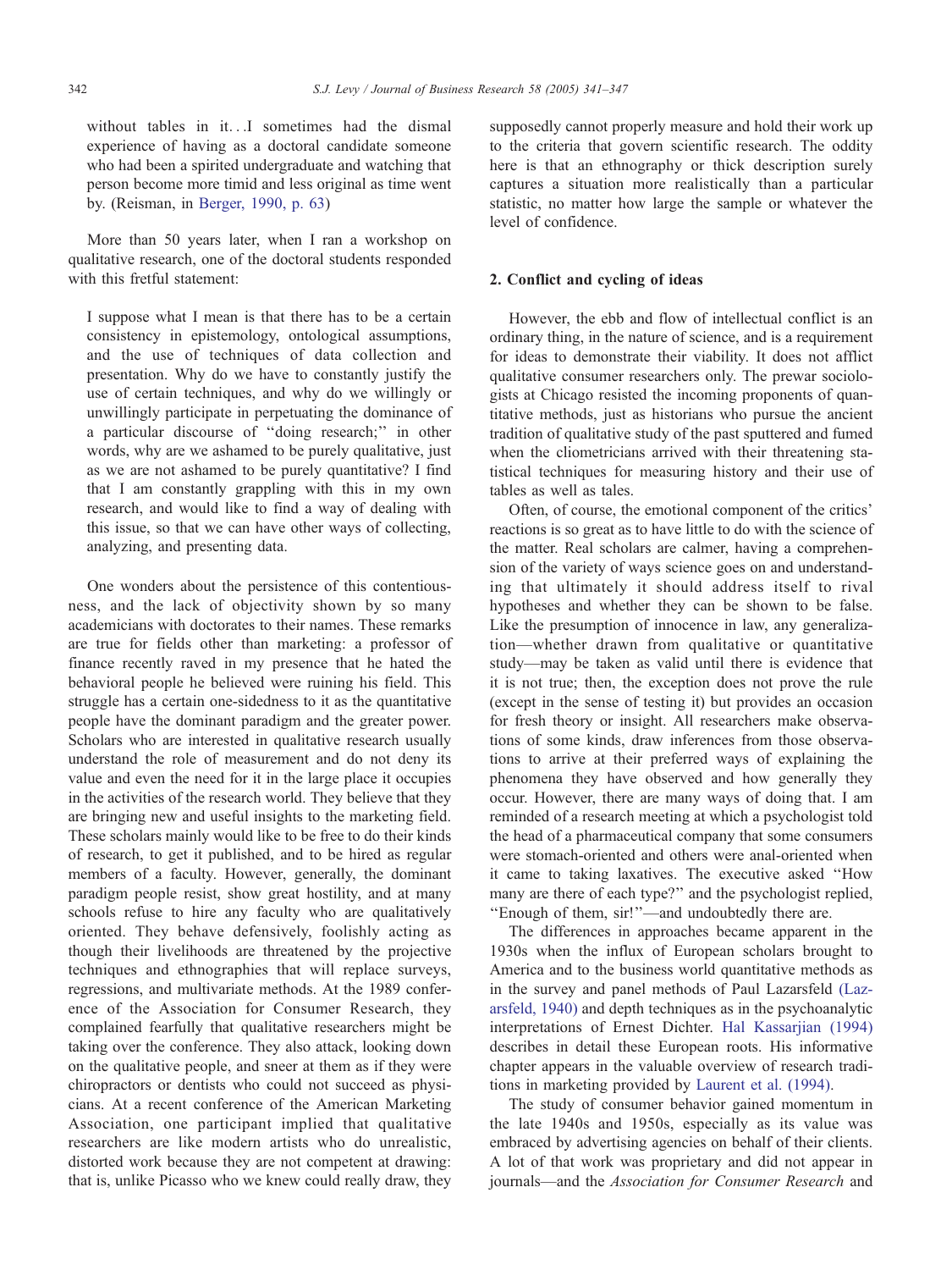without tables in it...I sometimes had the dismal experience of having as a doctoral candidate someone who had been a spirited undergraduate and watching that person become more timid and less original as time went by. (Reisman, in [Berger, 1990, p](#page--1-0). 63)

More than 50 years later, when I ran a workshop on qualitative research, one of the doctoral students responded with this fretful statement:

I suppose what I mean is that there has to be a certain consistency in epistemology, ontological assumptions, and the use of techniques of data collection and presentation. Why do we have to constantly justify the use of certain techniques, and why do we willingly or unwillingly participate in perpetuating the dominance of a particular discourse of ''doing research;'' in other words, why are we ashamed to be purely qualitative, just as we are not ashamed to be purely quantitative? I find that I am constantly grappling with this in my own research, and would like to find a way of dealing with this issue, so that we can have other ways of collecting, analyzing, and presenting data.

One wonders about the persistence of this contentiousness, and the lack of objectivity shown by so many academicians with doctorates to their names. These remarks are true for fields other than marketing: a professor of finance recently raved in my presence that he hated the behavioral people he believed were ruining his field. This struggle has a certain one-sidedness to it as the quantitative people have the dominant paradigm and the greater power. Scholars who are interested in qualitative research usually understand the role of measurement and do not deny its value and even the need for it in the large place it occupies in the activities of the research world. They believe that they are bringing new and useful insights to the marketing field. These scholars mainly would like to be free to do their kinds of research, to get it published, and to be hired as regular members of a faculty. However, generally, the dominant paradigm people resist, show great hostility, and at many schools refuse to hire any faculty who are qualitatively oriented. They behave defensively, foolishly acting as though their livelihoods are threatened by the projective techniques and ethnographies that will replace surveys, regressions, and multivariate methods. At the 1989 conference of the Association for Consumer Research, they complained fearfully that qualitative researchers might be taking over the conference. They also attack, looking down on the qualitative people, and sneer at them as if they were chiropractors or dentists who could not succeed as physicians. At a recent conference of the American Marketing Association, one participant implied that qualitative researchers are like modern artists who do unrealistic, distorted work because they are not competent at drawing: that is, unlike Picasso who we knew could really draw, they

supposedly cannot properly measure and hold their work up to the criteria that govern scientific research. The oddity here is that an ethnography or thick description surely captures a situation more realistically than a particular statistic, no matter how large the sample or whatever the level of confidence.

### 2. Conflict and cycling of ideas

However, the ebb and flow of intellectual conflict is an ordinary thing, in the nature of science, and is a requirement for ideas to demonstrate their viability. It does not afflict qualitative consumer researchers only. The prewar sociologists at Chicago resisted the incoming proponents of quantitative methods, just as historians who pursue the ancient tradition of qualitative study of the past sputtered and fumed when the cliometricians arrived with their threatening statistical techniques for measuring history and their use of tables as well as tales.

Often, of course, the emotional component of the critics' reactions is so great as to have little to do with the science of the matter. Real scholars are calmer, having a comprehension of the variety of ways science goes on and understanding that ultimately it should address itself to rival hypotheses and whether they can be shown to be false. Like the presumption of innocence in law, any generalization—whether drawn from qualitative or quantitative study—may be taken as valid until there is evidence that it is not true; then, the exception does not prove the rule (except in the sense of testing it) but provides an occasion for fresh theory or insight. All researchers make observations of some kinds, draw inferences from those observations to arrive at their preferred ways of explaining the phenomena they have observed and how generally they occur. However, there are many ways of doing that. I am reminded of a research meeting at which a psychologist told the head of a pharmaceutical company that some consumers were stomach-oriented and others were anal-oriented when it came to taking laxatives. The executive asked ''How many are there of each type?" and the psychologist replied, ''Enough of them, sir!''—and undoubtedly there are.

The differences in approaches became apparent in the 1930s when the influx of European scholars brought to America and to the business world quantitative methods as in the survey and panel methods of Paul Lazarsfeld [\(Laz](#page--1-0)arsfeld, 1940) and depth techniques as in the psychoanalytic interpretations of Ernest Dichter. [Hal Kassarjian \(1994\)](#page--1-0) describes in detail these European roots. His informative chapter appears in the valuable overview of research traditions in marketing provided by [Laurent et al. \(1994\).](#page--1-0)

The study of consumer behavior gained momentum in the late 1940s and 1950s, especially as its value was embraced by advertising agencies on behalf of their clients. A lot of that work was proprietary and did not appear in journals—and the Association for Consumer Research and